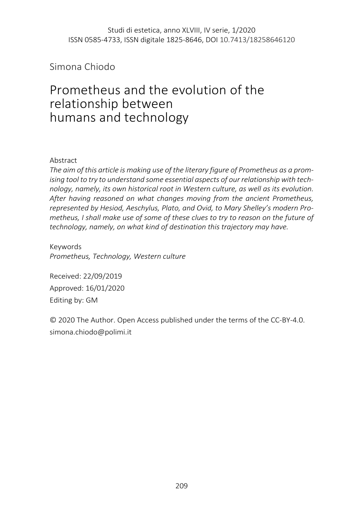## Simona Chiodo

# Prometheus and the evolution of the relationship between humans and technology

#### Abstract

*The aim of this article is making use of the literary figure of Prometheus as a promising tool to try to understand some essential aspects of our relationship with technology, namely, its own historical root in Western culture, as well as its evolution. After having reasoned on what changes moving from the ancient Prometheus, represented by Hesiod, Aeschylus, Plato, and Ovid, to Mary Shelley's modern Prometheus, I shall make use of some of these clues to try to reason on the future of technology, namely, on what kind of destination this trajectory may have.*

Keywords *Prometheus, Technology, Western culture*

Received: 22/09/2019 Approved: 16/01/2020 Editing by: GM

© 2020 The Author. Open Access published under the terms of the CC-BY-4.0. simona.chiodo@polimi.it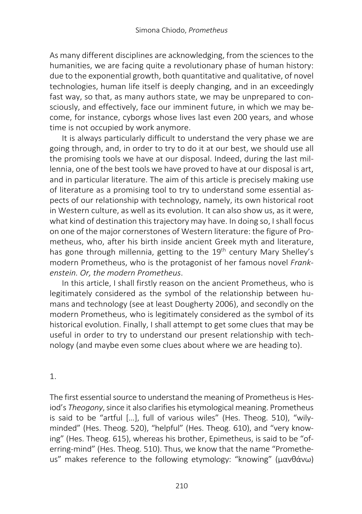As many different disciplines are acknowledging, from the sciences to the humanities, we are facing quite a revolutionary phase of human history: due to the exponential growth, both quantitative and qualitative, of novel technologies, human life itself is deeply changing, and in an exceedingly fast way, so that, as many authors state, we may be unprepared to consciously, and effectively, face our imminent future, in which we may become, for instance, cyborgs whose lives last even 200 years, and whose time is not occupied by work anymore.

It is always particularly difficult to understand the very phase we are going through, and, in order to try to do it at our best, we should use all the promising tools we have at our disposal. Indeed, during the last millennia, one of the best tools we have proved to have at our disposal is art, and in particular literature. The aim of this article is precisely making use of literature as a promising tool to try to understand some essential aspects of our relationship with technology, namely, its own historical root in Western culture, as well as its evolution. It can also show us, as it were, what kind of destination this trajectory may have. In doing so, I shall focus on one of the major cornerstones of Western literature: the figure of Prometheus, who, after his birth inside ancient Greek myth and literature, has gone through millennia, getting to the 19<sup>th</sup> century Mary Shelley's modern Prometheus, who is the protagonist of her famous novel *Frankenstein. Or, the modern Prometheus*.

In this article, I shall firstly reason on the ancient Prometheus, who is legitimately considered as the symbol of the relationship between humans and technology (see at least Dougherty 2006), and secondly on the modern Prometheus, who is legitimately considered as the symbol of its historical evolution. Finally, I shall attempt to get some clues that may be useful in order to try to understand our present relationship with technology (and maybe even some clues about where we are heading to).

#### 1.

The first essential source to understand the meaning of Prometheus is Hesiod's *Theogony*, since it also clarifies his etymological meaning. Prometheus is said to be "artful […], full of various wiles" (Hes. Theog. 510), "wilyminded" (Hes. Theog. 520), "helpful" (Hes. Theog. 610), and "very knowing" (Hes. Theog. 615), whereas his brother, Epimetheus, is said to be "oferring-mind" (Hes. Theog. 510). Thus, we know that the name "Prometheus" makes reference to the following etymology: "knowing" (μανθάνω)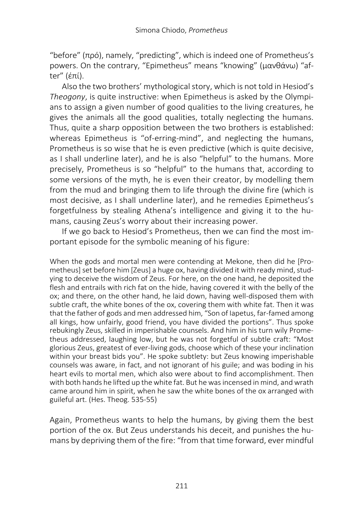"before" (πρό), namely, "predicting", which is indeed one of Prometheus's powers. On the contrary, "Epimetheus" means "knowing" (μανθάνω) "after" (έπί).

Also the two brothers' mythological story, which is not told in Hesiod's *Theogony*, is quite instructive: when Epimetheus is asked by the Olympians to assign a given number of good qualities to the living creatures, he gives the animals all the good qualities, totally neglecting the humans. Thus, quite a sharp opposition between the two brothers is established: whereas Epimetheus is "of-erring-mind", and neglecting the humans, Prometheus is so wise that he is even predictive (which is quite decisive, as I shall underline later), and he is also "helpful" to the humans. More precisely, Prometheus is so "helpful" to the humans that, according to some versions of the myth, he is even their creator, by modelling them from the mud and bringing them to life through the divine fire (which is most decisive, as I shall underline later), and he remedies Epimetheus's forgetfulness by stealing Athena's intelligence and giving it to the humans, causing Zeus's worry about their increasing power.

If we go back to Hesiod's Prometheus, then we can find the most important episode for the symbolic meaning of his figure:

When the gods and mortal men were contending at Mekone, then did he [Prometheus] set before him [Zeus] a huge ox, having divided it with ready mind, studying to deceive the wisdom of Zeus. For here, on the one hand, he deposited the flesh and entrails with rich fat on the hide, having covered it with the belly of the ox; and there, on the other hand, he laid down, having well-disposed them with subtle craft, the white bones of the ox, covering them with white fat. Then it was that the father of gods and men addressed him, "Son of Iapetus, far-famed among all kings, how unfairly, good friend, you have divided the portions". Thus spoke rebukingly Zeus, skilled in imperishable counsels. And him in his turn wily Prometheus addressed, laughing low, but he was not forgetful of subtle craft: "Most glorious Zeus, greatest of ever-living gods, choose which of these your inclination within your breast bids you". He spoke subtlety: but Zeus knowing imperishable counsels was aware, in fact, and not ignorant of his guile; and was boding in his heart evils to mortal men, which also were about to find accomplishment. Then with both hands he lifted up the white fat. But he was incensed in mind, and wrath came around him in spirit, when he saw the white bones of the ox arranged with guileful art. (Hes. Theog. 535-55)

Again, Prometheus wants to help the humans, by giving them the best portion of the ox. But Zeus understands his deceit, and punishes the humans by depriving them of the fire: "from that time forward, ever mindful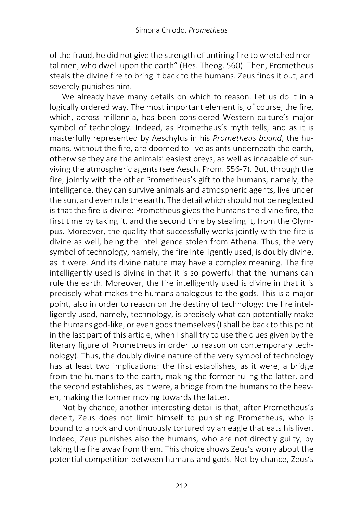of the fraud, he did not give the strength of untiring fire to wretched mortal men, who dwell upon the earth" (Hes. Theog. 560). Then, Prometheus steals the divine fire to bring it back to the humans. Zeus finds it out, and severely punishes him.

We already have many details on which to reason. Let us do it in a logically ordered way. The most important element is, of course, the fire, which, across millennia, has been considered Western culture's major symbol of technology. Indeed, as Prometheus's myth tells, and as it is masterfully represented by Aeschylus in his *Prometheus bound*, the humans, without the fire, are doomed to live as ants underneath the earth, otherwise they are the animals' easiest preys, as well as incapable of surviving the atmospheric agents (see Aesch. Prom. 556-7). But, through the fire, jointly with the other Prometheus's gift to the humans, namely, the intelligence, they can survive animals and atmospheric agents, live under the sun, and even rule the earth. The detail which should not be neglected is that the fire is divine: Prometheus gives the humans the divine fire, the first time by taking it, and the second time by stealing it, from the Olympus. Moreover, the quality that successfully works jointly with the fire is divine as well, being the intelligence stolen from Athena. Thus, the very symbol of technology, namely, the fire intelligently used, is doubly divine, as it were. And its divine nature may have a complex meaning. The fire intelligently used is divine in that it is so powerful that the humans can rule the earth. Moreover, the fire intelligently used is divine in that it is precisely what makes the humans analogous to the gods. This is a major point, also in order to reason on the destiny of technology: the fire intelligently used, namely, technology, is precisely what can potentially make the humans god-like, or even gods themselves (I shall be back to this point in the last part of this article, when I shall try to use the clues given by the literary figure of Prometheus in order to reason on contemporary technology). Thus, the doubly divine nature of the very symbol of technology has at least two implications: the first establishes, as it were, a bridge from the humans to the earth, making the former ruling the latter, and the second establishes, as it were, a bridge from the humans to the heaven, making the former moving towards the latter.

Not by chance, another interesting detail is that, after Prometheus's deceit, Zeus does not limit himself to punishing Prometheus, who is bound to a rock and continuously tortured by an eagle that eats his liver. Indeed, Zeus punishes also the humans, who are not directly guilty, by taking the fire away from them. This choice shows Zeus's worry about the potential competition between humans and gods. Not by chance, Zeus's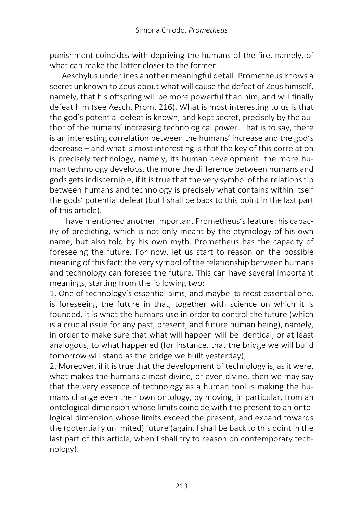punishment coincides with depriving the humans of the fire, namely, of what can make the latter closer to the former.

Aeschylus underlines another meaningful detail: Prometheus knows a secret unknown to Zeus about what will cause the defeat of Zeus himself, namely, that his offspring will be more powerful than him, and will finally defeat him (see Aesch. Prom. 216). What is most interesting to us is that the god's potential defeat is known, and kept secret, precisely by the author of the humans' increasing technological power. That is to say, there is an interesting correlation between the humans' increase and the god's decrease – and what is most interesting is that the key of this correlation is precisely technology, namely, its human development: the more human technology develops, the more the difference between humans and gods gets indiscernible, if it is true that the very symbol of the relationship between humans and technology is precisely what contains within itself the gods' potential defeat (but I shall be back to this point in the last part of this article).

I have mentioned another important Prometheus's feature: his capacity of predicting, which is not only meant by the etymology of his own name, but also told by his own myth. Prometheus has the capacity of foreseeing the future. For now, let us start to reason on the possible meaning of this fact: the very symbol of the relationship between humans and technology can foresee the future. This can have several important meanings, starting from the following two:

1. One of technology's essential aims, and maybe its most essential one, is foreseeing the future in that, together with science on which it is founded, it is what the humans use in order to control the future (which is a crucial issue for any past, present, and future human being), namely, in order to make sure that what will happen will be identical, or at least analogous, to what happened (for instance, that the bridge we will build tomorrow will stand as the bridge we built yesterday);

2. Moreover, if it is true that the development of technology is, as it were, what makes the humans almost divine, or even divine, then we may say that the very essence of technology as a human tool is making the humans change even their own ontology, by moving, in particular, from an ontological dimension whose limits coincide with the present to an ontological dimension whose limits exceed the present, and expand towards the (potentially unlimited) future (again, I shall be back to this point in the last part of this article, when I shall try to reason on contemporary technology).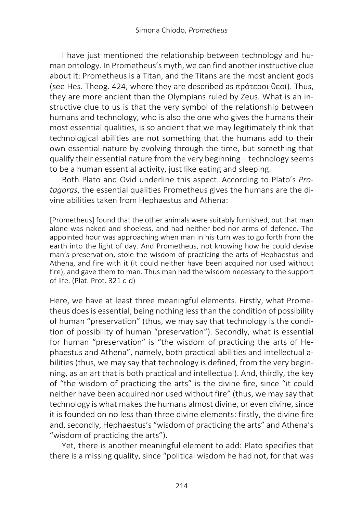I have just mentioned the relationship between technology and human ontology. In Prometheus's myth, we can find another instructive clue about it: Prometheus is a Titan, and the Titans are the most ancient gods (see Hes. Theog. 424, where they are described as πρότεροι θεοί). Thus, they are more ancient than the Olympians ruled by Zeus. What is an instructive clue to us is that the very symbol of the relationship between humans and technology, who is also the one who gives the humans their most essential qualities, is so ancient that we may legitimately think that technological abilities are not something that the humans add to their own essential nature by evolving through the time, but something that qualify their essential nature from the very beginning – technology seems to be a human essential activity, just like eating and sleeping.

Both Plato and Ovid underline this aspect. According to Plato's *Protagoras*, the essential qualities Prometheus gives the humans are the divine abilities taken from Hephaestus and Athena:

[Prometheus] found that the other animals were suitably furnished, but that man alone was naked and shoeless, and had neither bed nor arms of defence. The appointed hour was approaching when man in his turn was to go forth from the earth into the light of day. And Prometheus, not knowing how he could devise man's preservation, stole the wisdom of practicing the arts of Hephaestus and Athena, and fire with it (it could neither have been acquired nor used without fire), and gave them to man. Thus man had the wisdom necessary to the support of life. (Plat. Prot. 321 c-d)

Here, we have at least three meaningful elements. Firstly, what Prometheus does is essential, being nothing less than the condition of possibility of human "preservation" (thus, we may say that technology is the condition of possibility of human "preservation"). Secondly, what is essential for human "preservation" is "the wisdom of practicing the arts of Hephaestus and Athena", namely, both practical abilities and intellectual abilities (thus, we may say that technology is defined, from the very beginning, as an art that is both practical and intellectual). And, thirdly, the key of "the wisdom of practicing the arts" is the divine fire, since "it could neither have been acquired nor used without fire" (thus, we may say that technology is what makes the humans almost divine, or even divine, since it is founded on no less than three divine elements: firstly, the divine fire and, secondly, Hephaestus's "wisdom of practicing the arts" and Athena's "wisdom of practicing the arts").

Yet, there is another meaningful element to add: Plato specifies that there is a missing quality, since "political wisdom he had not, for that was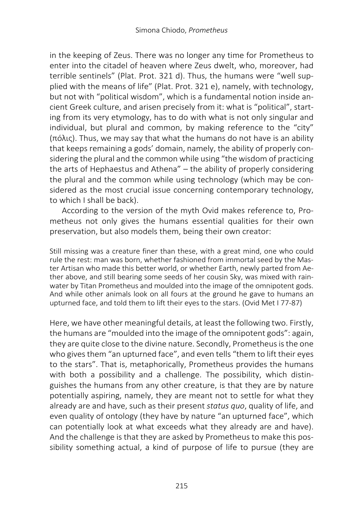in the keeping of Zeus. There was no longer any time for Prometheus to enter into the citadel of heaven where Zeus dwelt, who, moreover, had terrible sentinels" (Plat. Prot. 321 d). Thus, the humans were "well supplied with the means of life" (Plat. Prot. 321 e), namely, with technology, but not with "political wisdom", which is a fundamental notion inside ancient Greek culture, and arisen precisely from it: what is "political", starting from its very etymology, has to do with what is not only singular and individual, but plural and common, by making reference to the "city" (πόλις). Thus, we may say that what the humans do not have is an ability that keeps remaining a gods' domain, namely, the ability of properly considering the plural and the common while using "the wisdom of practicing the arts of Hephaestus and Athena" – the ability of properly considering the plural and the common while using technology (which may be considered as the most crucial issue concerning contemporary technology, to which I shall be back).

According to the version of the myth Ovid makes reference to, Prometheus not only gives the humans essential qualities for their own preservation, but also models them, being their own creator:

Still missing was a creature finer than these, with a great mind, one who could rule the rest: man was born, whether fashioned from immortal seed by the Master Artisan who made this better world, or whether Earth, newly parted from Aether above, and still bearing some seeds of her cousin Sky, was mixed with rainwater by Titan Prometheus and moulded into the image of the omnipotent gods. And while other animals look on all fours at the ground he gave to humans an upturned face, and told them to lift their eyes to the stars. (Ovid Met I 77-87)

Here, we have other meaningful details, at least the following two. Firstly, the humans are "moulded into the image of the omnipotent gods": again, they are quite close to the divine nature. Secondly, Prometheus is the one who gives them "an upturned face", and even tells "them to lift their eyes to the stars". That is, metaphorically, Prometheus provides the humans with both a possibility and a challenge. The possibility, which distinguishes the humans from any other creature, is that they are by nature potentially aspiring, namely, they are meant not to settle for what they already are and have, such as their present *status quo*, quality of life, and even quality of ontology (they have by nature "an upturned face", which can potentially look at what exceeds what they already are and have). And the challenge is that they are asked by Prometheus to make this possibility something actual, a kind of purpose of life to pursue (they are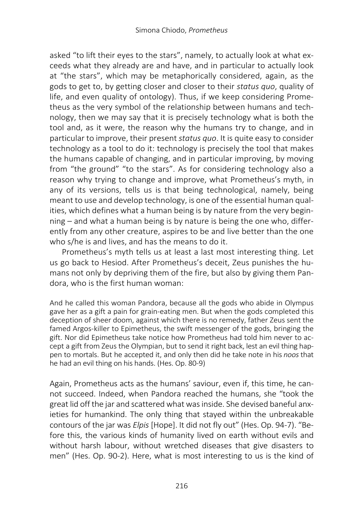asked "to lift their eyes to the stars", namely, to actually look at what exceeds what they already are and have, and in particular to actually look at "the stars", which may be metaphorically considered, again, as the gods to get to, by getting closer and closer to their *status quo*, quality of life, and even quality of ontology). Thus, if we keep considering Prometheus as the very symbol of the relationship between humans and technology, then we may say that it is precisely technology what is both the tool and, as it were, the reason why the humans try to change, and in particular to improve, their present *status quo*. It is quite easy to consider technology as a tool to do it: technology is precisely the tool that makes the humans capable of changing, and in particular improving, by moving from "the ground" "to the stars". As for considering technology also a reason why trying to change and improve, what Prometheus's myth, in any of its versions, tells us is that being technological, namely, being meant to use and develop technology, is one of the essential human qualities, which defines what a human being is by nature from the very beginning – and what a human being is by nature is being the one who, differently from any other creature, aspires to be and live better than the one who s/he is and lives, and has the means to do it.

Prometheus's myth tells us at least a last most interesting thing. Let us go back to Hesiod. After Prometheus's deceit, Zeus punishes the humans not only by depriving them of the fire, but also by giving them Pandora, who is the first human woman:

And he called this woman Pandora, because all the gods who abide in Olympus gave her as a gift a pain for grain-eating men. But when the gods completed this deception of sheer doom, against which there is no remedy, father Zeus sent the famed Argos-killer to Epimetheus, the swift messenger of the gods, bringing the gift. Nor did Epimetheus take notice how Prometheus had told him never to accept a gift from Zeus the Olympian, but to send it right back, lest an evil thing happen to mortals. But he accepted it, and only then did he take note in his *noos* that he had an evil thing on his hands. (Hes. Op. 80-9)

Again, Prometheus acts as the humans' saviour, even if, this time, he cannot succeed. Indeed, when Pandora reached the humans, she "took the great lid off the jar and scattered what was inside. She devised baneful anxieties for humankind. The only thing that stayed within the unbreakable contours of the jar was *Elpis* [Hope]. It did not fly out" (Hes. Op. 94-7). "Before this, the various kinds of humanity lived on earth without evils and without harsh labour, without wretched diseases that give disasters to men" (Hes. Op. 90-2). Here, what is most interesting to us is the kind of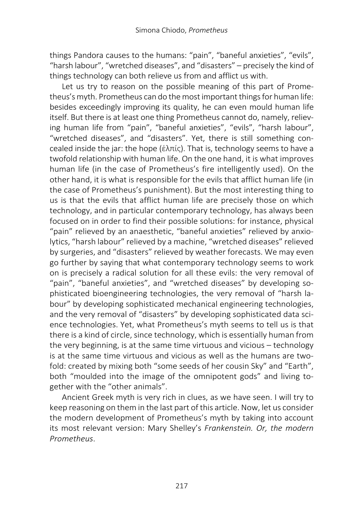things Pandora causes to the humans: "pain", "baneful anxieties", "evils", "harsh labour", "wretched diseases", and "disasters" – precisely the kind of things technology can both relieve us from and afflict us with.

Let us try to reason on the possible meaning of this part of Prometheus's myth. Prometheus can do the most important things for human life: besides exceedingly improving its quality, he can even mould human life itself. But there is at least one thing Prometheus cannot do, namely, relieving human life from "pain", "baneful anxieties", "evils", "harsh labour", "wretched diseases", and "disasters". Yet, there is still something concealed inside the jar: the hope (ἐλπίς). That is, technology seems to have a twofold relationship with human life. On the one hand, it is what improves human life (in the case of Prometheus's fire intelligently used). On the other hand, it is what is responsible for the evils that afflict human life (in the case of Prometheus's punishment). But the most interesting thing to us is that the evils that afflict human life are precisely those on which technology, and in particular contemporary technology, has always been focused on in order to find their possible solutions: for instance, physical "pain" relieved by an anaesthetic, "baneful anxieties" relieved by anxiolytics, "harsh labour" relieved by a machine, "wretched diseases" relieved by surgeries, and "disasters" relieved by weather forecasts. We may even go further by saying that what contemporary technology seems to work on is precisely a radical solution for all these evils: the very removal of "pain", "baneful anxieties", and "wretched diseases" by developing sophisticated bioengineering technologies, the very removal of "harsh labour" by developing sophisticated mechanical engineering technologies, and the very removal of "disasters" by developing sophisticated data science technologies. Yet, what Prometheus's myth seems to tell us is that there is a kind of circle, since technology, which is essentially human from the very beginning, is at the same time virtuous and vicious – technology is at the same time virtuous and vicious as well as the humans are twofold: created by mixing both "some seeds of her cousin Sky" and "Earth", both "moulded into the image of the omnipotent gods" and living together with the "other animals".

Ancient Greek myth is very rich in clues, as we have seen. I will try to keep reasoning on them in the last part of this article. Now, let us consider the modern development of Prometheus's myth by taking into account its most relevant version: Mary Shelley's *Frankenstein. Or, the modern Prometheus*.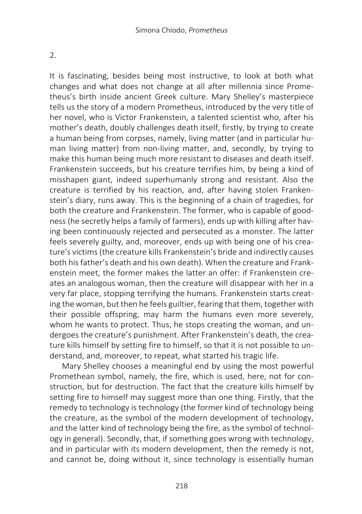2.

It is fascinating, besides being most instructive, to look at both what changes and what does not change at all after millennia since Prometheus's birth inside ancient Greek culture. Mary Shelley's masterpiece tells us the story of a modern Prometheus, introduced by the very title of her novel, who is Victor Frankenstein, a talented scientist who, after his mother's death, doubly challenges death itself, firstly, by trying to create a human being from corpses, namely, living matter (and in particular human living matter) from non-living matter, and, secondly, by trying to make this human being much more resistant to diseases and death itself. Frankenstein succeeds, but his creature terrifies him, by being a kind of misshapen giant, indeed superhumanly strong and resistant. Also the creature is terrified by his reaction, and, after having stolen Frankenstein's diary, runs away. This is the beginning of a chain of tragedies, for both the creature and Frankenstein. The former, who is capable of goodness (he secretly helps a family of farmers), ends up with killing after having been continuously rejected and persecuted as a monster. The latter feels severely guilty, and, moreover, ends up with being one of his creature's victims (the creature kills Frankenstein's bride and indirectly causes both his father's death and his own death). When the creature and Frankenstein meet, the former makes the latter an offer: if Frankenstein creates an analogous woman, then the creature will disappear with her in a very far place, stopping terrifying the humans. Frankenstein starts creating the woman, but then he feels guiltier, fearing that them, together with their possible offspring, may harm the humans even more severely, whom he wants to protect. Thus, he stops creating the woman, and undergoes the creature's punishment. After Frankenstein's death, the creature kills himself by setting fire to himself, so that it is not possible to understand, and, moreover, to repeat, what started his tragic life.

Mary Shelley chooses a meaningful end by using the most powerful Promethean symbol, namely, the fire, which is used, here, not for construction, but for destruction. The fact that the creature kills himself by setting fire to himself may suggest more than one thing. Firstly, that the remedy to technology is technology (the former kind of technology being the creature, as the symbol of the modern development of technology, and the latter kind of technology being the fire, as the symbol of technology in general). Secondly, that, if something goes wrong with technology, and in particular with its modern development, then the remedy is not, and cannot be, doing without it, since technology is essentially human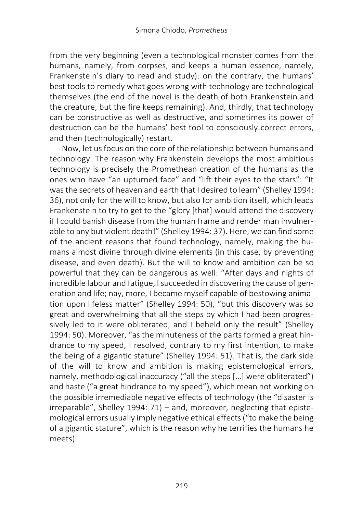from the very beginning (even a technological monster comes from the humans, namely, from corpses, and keeps a human essence, namely, Frankenstein's diary to read and study): on the contrary, the humans' best tools to remedy what goes wrong with technology are technological themselves (the end of the novel is the death of both Frankenstein and the creature, but the fire keeps remaining). And, thirdly, that technology can be constructive as well as destructive, and sometimes its power of destruction can be the humans' best tool to consciously correct errors, and then (technologically) restart.

Now, let us focus on the core of the relationship between humans and technology. The reason why Frankenstein develops the most ambitious technology is precisely the Promethean creation of the humans as the ones who have "an upturned face" and "lift their eyes to the stars": "It was the secrets of heaven and earth that I desired to learn" (Shelley 1994: 36), not only for the will to know, but also for ambition itself, which leads Frankenstein to try to get to the "glory [that] would attend the discovery if I could banish disease from the human frame and render man invulnerable to any but violent death!" (Shelley 1994: 37). Here, we can find some of the ancient reasons that found technology, namely, making the humans almost divine through divine elements (in this case, by preventing disease, and even death). But the will to know and ambition can be so powerful that they can be dangerous as well: "After days and nights of incredible labour and fatigue, I succeeded in discovering the cause of generation and life; nay, more, I became myself capable of bestowing animation upon lifeless matter" (Shelley 1994: 50), "but this discovery was so great and overwhelming that all the steps by which I had been progressively led to it were obliterated, and I beheld only the result" (Shelley 1994: 50). Moreover, "as the minuteness of the parts formed a great hindrance to my speed, I resolved, contrary to my first intention, to make the being of a gigantic stature" (Shelley 1994: 51). That is, the dark side of the will to know and ambition is making epistemological errors, namely, methodological inaccuracy ("all the steps […] were obliterated") and haste ("a great hindrance to my speed"), which mean not working on the possible irremediable negative effects of technology (the "disaster is irreparable", Shelley 1994: 71) – and, moreover, neglecting that epistemological errors usually imply negative ethical effects ("to make the being of a gigantic stature", which is the reason why he terrifies the humans he meets).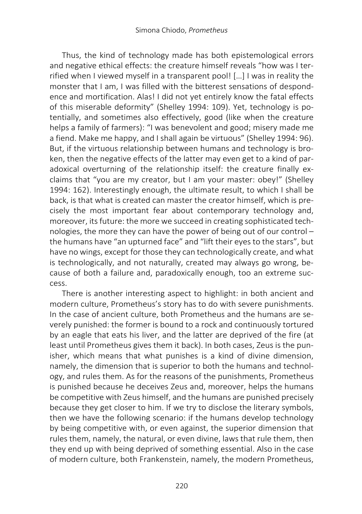Thus, the kind of technology made has both epistemological errors and negative ethical effects: the creature himself reveals "how was I terrified when I viewed myself in a transparent pool! […] I was in reality the monster that I am, I was filled with the bitterest sensations of despondence and mortification. Alas! I did not yet entirely know the fatal effects of this miserable deformity" (Shelley 1994: 109). Yet, technology is potentially, and sometimes also effectively, good (like when the creature helps a family of farmers): "I was benevolent and good; misery made me a fiend. Make me happy, and I shall again be virtuous" (Shelley 1994: 96). But, if the virtuous relationship between humans and technology is broken, then the negative effects of the latter may even get to a kind of paradoxical overturning of the relationship itself: the creature finally exclaims that "you are my creator, but I am your master: obey!" (Shelley 1994: 162). Interestingly enough, the ultimate result, to which I shall be back, is that what is created can master the creator himself, which is precisely the most important fear about contemporary technology and, moreover, its future: the more we succeed in creating sophisticated technologies, the more they can have the power of being out of our control – the humans have "an upturned face" and "lift their eyes to the stars", but have no wings, except for those they can technologically create, and what is technologically, and not naturally, created may always go wrong, because of both a failure and, paradoxically enough, too an extreme success.

There is another interesting aspect to highlight: in both ancient and modern culture, Prometheus's story has to do with severe punishments. In the case of ancient culture, both Prometheus and the humans are severely punished: the former is bound to a rock and continuously tortured by an eagle that eats his liver, and the latter are deprived of the fire (at least until Prometheus gives them it back). In both cases, Zeus is the punisher, which means that what punishes is a kind of divine dimension, namely, the dimension that is superior to both the humans and technology, and rules them. As for the reasons of the punishments, Prometheus is punished because he deceives Zeus and, moreover, helps the humans be competitive with Zeus himself, and the humans are punished precisely because they get closer to him. If we try to disclose the literary symbols, then we have the following scenario: if the humans develop technology by being competitive with, or even against, the superior dimension that rules them, namely, the natural, or even divine, laws that rule them, then they end up with being deprived of something essential. Also in the case of modern culture, both Frankenstein, namely, the modern Prometheus,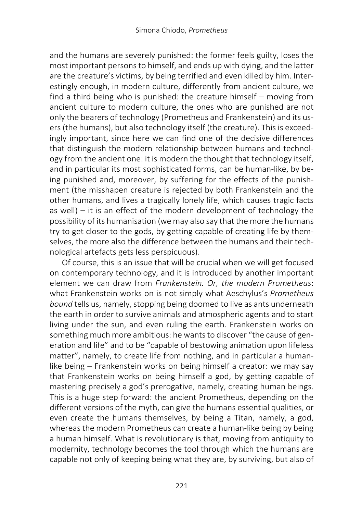and the humans are severely punished: the former feels guilty, loses the most important persons to himself, and ends up with dying, and the latter are the creature's victims, by being terrified and even killed by him. Interestingly enough, in modern culture, differently from ancient culture, we find a third being who is punished: the creature himself – moving from ancient culture to modern culture, the ones who are punished are not only the bearers of technology (Prometheus and Frankenstein) and its users (the humans), but also technology itself (the creature). This is exceedingly important, since here we can find one of the decisive differences that distinguish the modern relationship between humans and technology from the ancient one: it is modern the thought that technology itself, and in particular its most sophisticated forms, can be human-like, by being punished and, moreover, by suffering for the effects of the punishment (the misshapen creature is rejected by both Frankenstein and the other humans, and lives a tragically lonely life, which causes tragic facts as well) – it is an effect of the modern development of technology the possibility of its humanisation (we may also say that the more the humans try to get closer to the gods, by getting capable of creating life by themselves, the more also the difference between the humans and their technological artefacts gets less perspicuous).

Of course, this is an issue that will be crucial when we will get focused on contemporary technology, and it is introduced by another important element we can draw from *Frankenstein. Or, the modern Prometheus*: what Frankenstein works on is not simply what Aeschylus's *Prometheus bound* tells us, namely, stopping being doomed to live as ants underneath the earth in order to survive animals and atmospheric agents and to start living under the sun, and even ruling the earth. Frankenstein works on something much more ambitious: he wants to discover "the cause of generation and life" and to be "capable of bestowing animation upon lifeless matter", namely, to create life from nothing, and in particular a humanlike being – Frankenstein works on being himself a creator: we may say that Frankenstein works on being himself a god, by getting capable of mastering precisely a god's prerogative, namely, creating human beings. This is a huge step forward: the ancient Prometheus, depending on the different versions of the myth, can give the humans essential qualities, or even create the humans themselves, by being a Titan, namely, a god, whereas the modern Prometheus can create a human-like being by being a human himself. What is revolutionary is that, moving from antiquity to modernity, technology becomes the tool through which the humans are capable not only of keeping being what they are, by surviving, but also of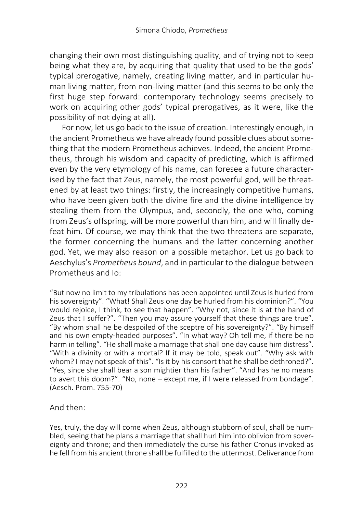changing their own most distinguishing quality, and of trying not to keep being what they are, by acquiring that quality that used to be the gods' typical prerogative, namely, creating living matter, and in particular human living matter, from non-living matter (and this seems to be only the first huge step forward: contemporary technology seems precisely to work on acquiring other gods' typical prerogatives, as it were, like the possibility of not dying at all).

For now, let us go back to the issue of creation. Interestingly enough, in the ancient Prometheus we have already found possible clues about something that the modern Prometheus achieves. Indeed, the ancient Prometheus, through his wisdom and capacity of predicting, which is affirmed even by the very etymology of his name, can foresee a future characterised by the fact that Zeus, namely, the most powerful god, will be threatened by at least two things: firstly, the increasingly competitive humans, who have been given both the divine fire and the divine intelligence by stealing them from the Olympus, and, secondly, the one who, coming from Zeus's offspring, will be more powerful than him, and will finally defeat him. Of course, we may think that the two threatens are separate, the former concerning the humans and the latter concerning another god. Yet, we may also reason on a possible metaphor. Let us go back to Aeschylus's *Prometheus bound*, and in particular to the dialogue between Prometheus and Io:

"But now no limit to my tribulations has been appointed until Zeus is hurled from his sovereignty". "What! Shall Zeus one day be hurled from his dominion?". "You would rejoice, I think, to see that happen". "Why not, since it is at the hand of Zeus that I suffer?". "Then you may assure yourself that these things are true". "By whom shall he be despoiled of the sceptre of his sovereignty?". "By himself and his own empty-headed purposes". "In what way? Oh tell me, if there be no harm in telling". "He shall make a marriage that shall one day cause him distress". "With a divinity or with a mortal? If it may be told, speak out". "Why ask with whom? I may not speak of this". "Is it by his consort that he shall be dethroned?". "Yes, since she shall bear a son mightier than his father". "And has he no means to avert this doom?". "No, none – except me, if I were released from bondage". (Aesch. Prom. 755-70)

### And then:

Yes, truly, the day will come when Zeus, although stubborn of soul, shall be humbled, seeing that he plans a marriage that shall hurl him into oblivion from sovereignty and throne; and then immediately the curse his father Cronus invoked as he fell from his ancient throne shall be fulfilled to the uttermost. Deliverance from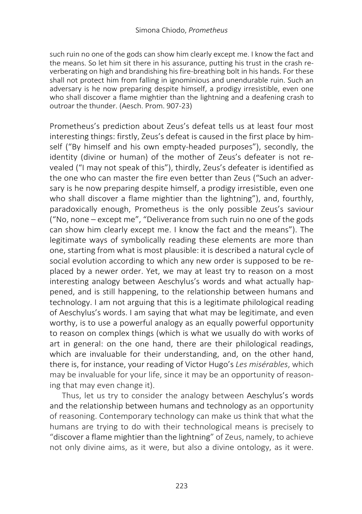such ruin no one of the gods can show him clearly except me. I know the fact and the means. So let him sit there in his assurance, putting his trust in the crash reverberating on high and brandishing his fire-breathing bolt in his hands. For these shall not protect him from falling in ignominious and unendurable ruin. Such an adversary is he now preparing despite himself, a prodigy irresistible, even one who shall discover a flame mightier than the lightning and a deafening crash to outroar the thunder. (Aesch. Prom. 907-23)

Prometheus's prediction about Zeus's defeat tells us at least four most interesting things: firstly, Zeus's defeat is caused in the first place by himself ("By himself and his own empty-headed purposes"), secondly, the identity (divine or human) of the mother of Zeus's defeater is not revealed ("I may not speak of this"), thirdly, Zeus's defeater is identified as the one who can master the fire even better than Zeus ("Such an adversary is he now preparing despite himself, a prodigy irresistible, even one who shall discover a flame mightier than the lightning"), and, fourthly, paradoxically enough, Prometheus is the only possible Zeus's saviour ("No, none – except me", "Deliverance from such ruin no one of the gods can show him clearly except me. I know the fact and the means"). The legitimate ways of symbolically reading these elements are more than one, starting from what is most plausible: it is described a natural cycle of social evolution according to which any new order is supposed to be replaced by a newer order. Yet, we may at least try to reason on a most interesting analogy between Aeschylus's words and what actually happened, and is still happening, to the relationship between humans and technology. I am not arguing that this is a legitimate philological reading of Aeschylus's words. I am saying that what may be legitimate, and even worthy, is to use a powerful analogy as an equally powerful opportunity to reason on complex things (which is what we usually do with works of art in general: on the one hand, there are their philological readings, which are invaluable for their understanding, and, on the other hand, there is, for instance, your reading of Victor Hugo's *Les misérables*, which may be invaluable for your life, since it may be an opportunity of reasoning that may even change it).

Thus, let us try to consider the analogy between Aeschylus's words and the relationship between humans and technology as an opportunity of reasoning. Contemporary technology can make us think that what the humans are trying to do with their technological means is precisely to "discover a flame mightier than the lightning" of Zeus, namely, to achieve not only divine aims, as it were, but also a divine ontology, as it were.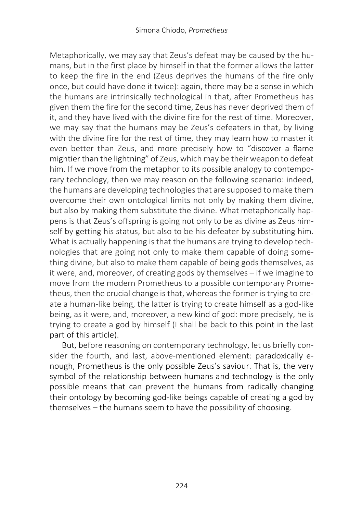Metaphorically, we may say that Zeus's defeat may be caused by the humans, but in the first place by himself in that the former allows the latter to keep the fire in the end (Zeus deprives the humans of the fire only once, but could have done it twice): again, there may be a sense in which the humans are intrinsically technological in that, after Prometheus has given them the fire for the second time, Zeus has never deprived them of it, and they have lived with the divine fire for the rest of time. Moreover, we may say that the humans may be Zeus's defeaters in that, by living with the divine fire for the rest of time, they may learn how to master it even better than Zeus, and more precisely how to "discover a flame mightier than the lightning" of Zeus, which may be their weapon to defeat him. If we move from the metaphor to its possible analogy to contemporary technology, then we may reason on the following scenario: indeed, the humans are developing technologies that are supposed to make them overcome their own ontological limits not only by making them divine, but also by making them substitute the divine. What metaphorically happens is that Zeus's offspring is going not only to be as divine as Zeus himself by getting his status, but also to be his defeater by substituting him. What is actually happening is that the humans are trying to develop technologies that are going not only to make them capable of doing something divine, but also to make them capable of being gods themselves, as it were, and, moreover, of creating gods by themselves – if we imagine to move from the modern Prometheus to a possible contemporary Prometheus, then the crucial change is that, whereas the former is trying to create a human-like being, the latter is trying to create himself as a god-like being, as it were, and, moreover, a new kind of god: more precisely, he is trying to create a god by himself (I shall be back to this point in the last part of this article).

But, before reasoning on contemporary technology, let us briefly consider the fourth, and last, above-mentioned element: paradoxically enough, Prometheus is the only possible Zeus's saviour. That is, the very symbol of the relationship between humans and technology is the only possible means that can prevent the humans from radically changing their ontology by becoming god-like beings capable of creating a god by themselves – the humans seem to have the possibility of choosing.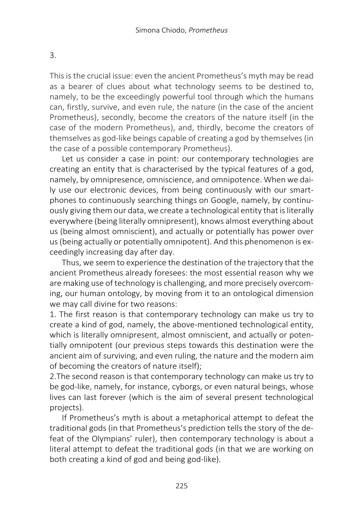This is the crucial issue: even the ancient Prometheus's myth may be read as a bearer of clues about what technology seems to be destined to, namely, to be the exceedingly powerful tool through which the humans can, firstly, survive, and even rule, the nature (in the case of the ancient Prometheus), secondly, become the creators of the nature itself (in the case of the modern Prometheus), and, thirdly, become the creators of themselves as god-like beings capable of creating a god by themselves (in the case of a possible contemporary Prometheus).

Let us consider a case in point: our contemporary technologies are creating an entity that is characterised by the typical features of a god, namely, by omnipresence, omniscience, and omnipotence. When we daily use our electronic devices, from being continuously with our smartphones to continuously searching things on Google, namely, by continuously giving them our data, we create a technological entity that is literally everywhere (being literally omnipresent), knows almost everything about us (being almost omniscient), and actually or potentially has power over us (being actually or potentially omnipotent). And this phenomenon is exceedingly increasing day after day.

Thus, we seem to experience the destination of the trajectory that the ancient Prometheus already foresees: the most essential reason why we are making use of technology is challenging, and more precisely overcoming, our human ontology, by moving from it to an ontological dimension we may call divine for two reasons:

1. The first reason is that contemporary technology can make us try to create a kind of god, namely, the above-mentioned technological entity, which is literally omnipresent, almost omniscient, and actually or potentially omnipotent (our previous steps towards this destination were the ancient aim of surviving, and even ruling, the nature and the modern aim of becoming the creators of nature itself);

2.The second reason is that contemporary technology can make us try to be god-like, namely, for instance, cyborgs, or even natural beings, whose lives can last forever (which is the aim of several present technological projects).

If Prometheus's myth is about a metaphorical attempt to defeat the traditional gods (in that Prometheus's prediction tells the story of the defeat of the Olympians' ruler), then contemporary technology is about a literal attempt to defeat the traditional gods (in that we are working on both creating a kind of god and being god-like).

3.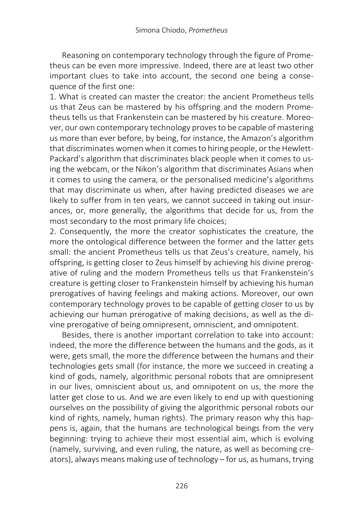Reasoning on contemporary technology through the figure of Prometheus can be even more impressive. Indeed, there are at least two other important clues to take into account, the second one being a consequence of the first one:

1. What is created can master the creator: the ancient Prometheus tells us that Zeus can be mastered by his offspring and the modern Prometheus tells us that Frankenstein can be mastered by his creature. Moreover, our own contemporary technology proves to be capable of mastering us more than ever before, by being, for instance, the Amazon's algorithm that discriminates women when it comes to hiring people, or the Hewlett-Packard's algorithm that discriminates black people when it comes to using the webcam, or the Nikon's algorithm that discriminates Asians when it comes to using the camera, or the personalised medicine's algorithms that may discriminate us when, after having predicted diseases we are likely to suffer from in ten years, we cannot succeed in taking out insurances, or, more generally, the algorithms that decide for us, from the most secondary to the most primary life choices;

2. Consequently, the more the creator sophisticates the creature, the more the ontological difference between the former and the latter gets small: the ancient Prometheus tells us that Zeus's creature, namely, his offspring, is getting closer to Zeus himself by achieving his divine prerogative of ruling and the modern Prometheus tells us that Frankenstein's creature is getting closer to Frankenstein himself by achieving his human prerogatives of having feelings and making actions. Moreover, our own contemporary technology proves to be capable of getting closer to us by achieving our human prerogative of making decisions, as well as the divine prerogative of being omnipresent, omniscient, and omnipotent.

Besides, there is another important correlation to take into account: indeed, the more the difference between the humans and the gods, as it were, gets small, the more the difference between the humans and their technologies gets small (for instance, the more we succeed in creating a kind of gods, namely, algorithmic personal robots that are omnipresent in our lives, omniscient about us, and omnipotent on us, the more the latter get close to us. And we are even likely to end up with questioning ourselves on the possibility of giving the algorithmic personal robots our kind of rights, namely, human rights). The primary reason why this happens is, again, that the humans are technological beings from the very beginning: trying to achieve their most essential aim, which is evolving (namely, surviving, and even ruling, the nature, as well as becoming creators), always means making use of technology – for us, as humans, trying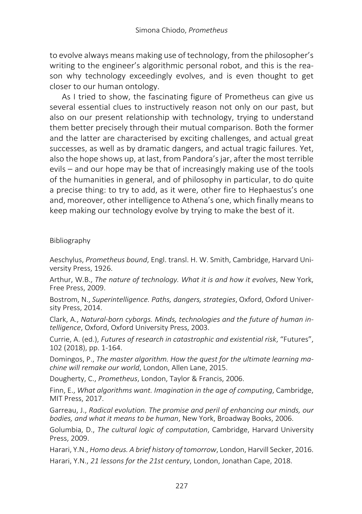to evolve always means making use of technology, from the philosopher's writing to the engineer's algorithmic personal robot, and this is the reason why technology exceedingly evolves, and is even thought to get closer to our human ontology.

As I tried to show, the fascinating figure of Prometheus can give us several essential clues to instructively reason not only on our past, but also on our present relationship with technology, trying to understand them better precisely through their mutual comparison. Both the former and the latter are characterised by exciting challenges, and actual great successes, as well as by dramatic dangers, and actual tragic failures. Yet, also the hope shows up, at last, from Pandora's jar, after the most terrible evils – and our hope may be that of increasingly making use of the tools of the humanities in general, and of philosophy in particular, to do quite a precise thing: to try to add, as it were, other fire to Hephaestus's one and, moreover, other intelligence to Athena's one, which finally means to keep making our technology evolve by trying to make the best of it.

Bibliography

Aeschylus, *Prometheus bound*, Engl. transl. H. W. Smith, Cambridge, Harvard University Press, 1926.

Arthur, W.B., *The nature of technology. What it is and how it evolves*, New York, Free Press, 2009.

Bostrom, N., *Superintelligence. Paths, dangers, strategies*, Oxford, Oxford University Press, 2014.

Clark, A., *Natural-born cyborgs. Minds, technologies and the future of human intelligence*, Oxford, Oxford University Press, 2003.

Currie, A. (ed.), *Futures of research in catastrophic and existential risk*, "Futures", 102 (2018), pp. 1-164.

Domingos, P., *The master algorithm. How the quest for the ultimate learning machine will remake our world*, London, Allen Lane, 2015.

Dougherty, C., *Prometheus*, London, Taylor & Francis, 2006.

Finn, E., *What algorithms want. Imagination in the age of computing*, Cambridge, MIT Press, 2017.

Garreau, J., *Radical evolution. The promise and peril of enhancing our minds, our bodies, and what it means to be human*, New York, Broadway Books, 2006.

Golumbia, D., *The cultural logic of computation*, Cambridge, Harvard University Press, 2009.

Harari, Y.N., *Homo deus. A brief history of tomorrow*, London, Harvill Secker, 2016.

Harari, Y.N., *21 lessons for the 21st century*, London, Jonathan Cape, 2018.